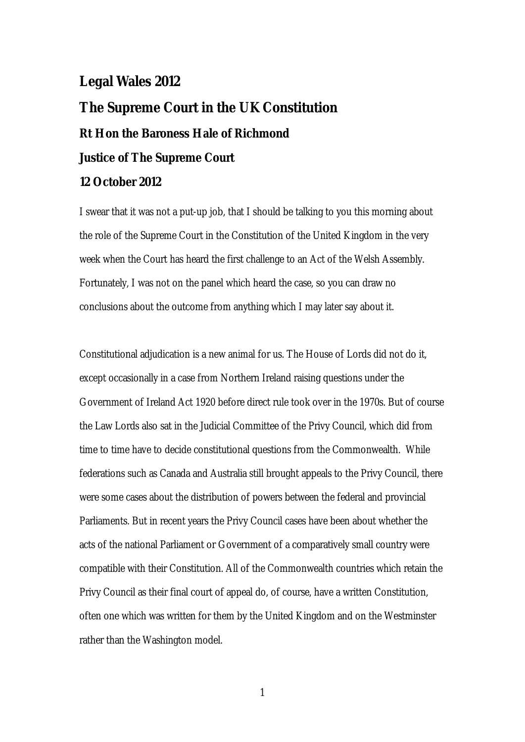## **Legal Wales 2012**

## **The Supreme Court in the UK Constitution Rt Hon the Baroness Hale of Richmond Justice of The Supreme Court 12 October 2012**

I swear that it was not a put-up job, that I should be talking to you this morning about the role of the Supreme Court in the Constitution of the United Kingdom in the very week when the Court has heard the first challenge to an Act of the Welsh Assembly. Fortunately, I was not on the panel which heard the case, so you can draw no conclusions about the outcome from anything which I may later say about it.

Constitutional adjudication is a new animal for us. The House of Lords did not do it, except occasionally in a case from Northern Ireland raising questions under the Government of Ireland Act 1920 before direct rule took over in the 1970s. But of course the Law Lords also sat in the Judicial Committee of the Privy Council, which did from time to time have to decide constitutional questions from the Commonwealth. While federations such as Canada and Australia still brought appeals to the Privy Council, there were some cases about the distribution of powers between the federal and provincial Parliaments. But in recent years the Privy Council cases have been about whether the acts of the national Parliament or Government of a comparatively small country were compatible with their Constitution. All of the Commonwealth countries which retain the Privy Council as their final court of appeal do, of course, have a written Constitution, often one which was written for them by the United Kingdom and on the Westminster rather than the Washington model.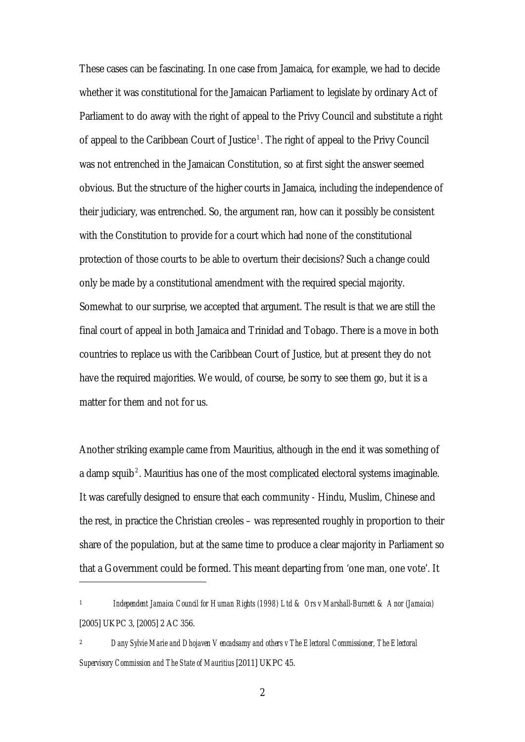These cases can be fascinating. In one case from Jamaica, for example, we had to decide whether it was constitutional for the Jamaican Parliament to legislate by ordinary Act of Parliament to do away with the right of appeal to the Privy Council and substitute a right of appeal to the Caribbean Court of Justice<sup>1</sup>. The right of appeal to the Privy Council was not entrenched in the Jamaican Constitution, so at first sight the answer seemed obvious. But the structure of the higher courts in Jamaica, including the independence of their judiciary, was entrenched. So, the argument ran, how can it possibly be consistent with the Constitution to provide for a court which had none of the constitutional protection of those courts to be able to overturn their decisions? Such a change could only be made by a constitutional amendment with the required special majority. Somewhat to our surprise, we accepted that argument. The result is that we are still the final court of appeal in both Jamaica and Trinidad and Tobago. There is a move in both countries to replace us with the Caribbean Court of Justice, but at present they do n ot have the required majorities. We would, of course, be sorry to see them go, but it is a matter for them and n ot for us.

Another striking example came from Mauritius, although in the end it was something of a damp squib<sup>2</sup>. Mauritius has one of the most complicated electoral systems imaginable. It was carefully designed to ensure that each community - Hindu, Muslim, Chinese and the rest, in practice the Christian creoles – was represented roughly in proportion to their share of the population, but at the same time to produce a clear majority in Parliament so that a Government could be formed. This meant departing from 'one man, one vote'. It

1 *Independent Jamaica Council for Human Rights (1998) Ltd & Ors v Marshall-Burnett & Anor (Jamaica)*  [2005] UKPC 3, [2005] 2 AC 356.

<u>.</u>

2 *Dany Sylvie Marie and Dhojaven Vencadsamy and others v The Electoral Commissioner, The Electoral Supervisory Commission and The State of Mauritius* [2011] UKPC 45.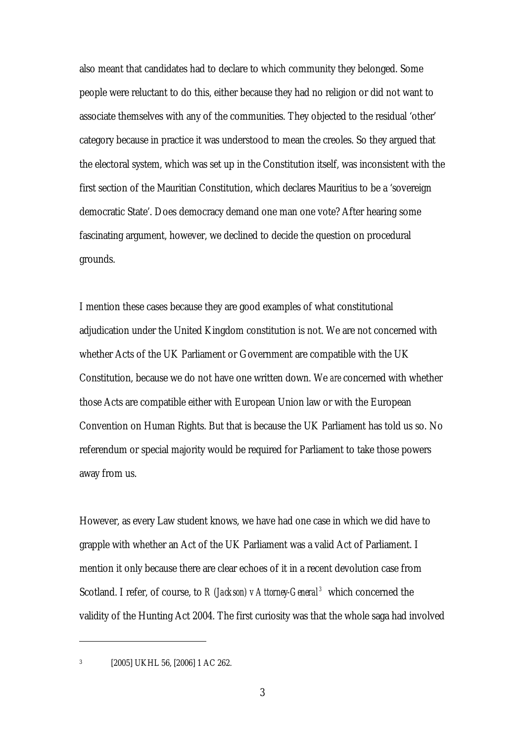also meant that candidates had to declare to which community they belonged. Some people were reluctant to do this, either because they had no religion or did not want to associate themselves with any of the communities. They objected to the residual 'other' category because in practice it was understood to mean the creoles. So they argued that the electoral system, which was set up in the Constitution itself, was inconsistent with the first section of the Mauritian Constitution, which declares Mauritius to be a 'sovereign democratic State'. Does democracy demand one man one vote? After hearing some fascinating argument, however, we declined to decide the question on procedural grounds.

I mention these cases because they are good examples of what constitutional adjudication under the United Kingdom constitution is not. We are not concerned with whether Acts of the UK Parliament or Government are compatible with the UK Constitution, because we do not have one written down. We *are* concerned with whether those Acts are compatible either with European Union law or with the European Convention on Human Rights. But that is because the UK Parliament has told us so. No referendum or special majority would be required for Parliament to take those powers away from us.

However, as every Law student knows, we have had one case in which we did have to grapple with whether an Act of the UK Parliament was a valid Act of Parliament. I mention it only because there are clear echoes of it in a recent devolution case from Scotland. I refer, of course, to *R (Jackson) v Attorney-General*<sup>3</sup> which concerned the validity of the Hunting Act 2004. The first curiosity was that the whole saga had involved

<sup>3 [2005]</sup> UKHL 56, [2006] 1 AC 262.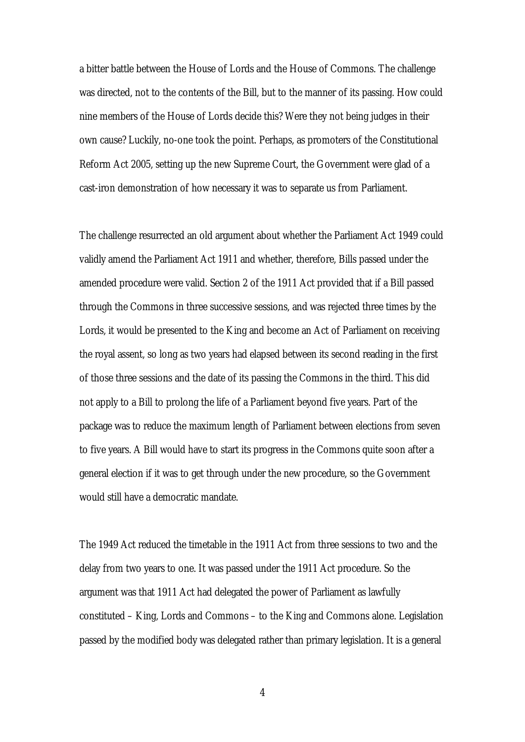a bitter battle between the House of Lords and the House of Commons. The challen ge was directed, not to the contents of the Bill, but to the manner of its passing. How could nine members of the House of Lords decide this? Were they not being judges in their own cause? Luckily, no-one took the point. Perhaps, as promoters of the Constitutio nal Reform Act 2005, setting up the new Supreme Court, the Government were glad of a cast-iron demonstration of how necessary it was to separate us from Parliament.

The challenge resurrected an old argument about whether the Parliament Act 1949 could validly amend the Parliament Act 1911 and whether, therefore, Bills passed under the amended procedure were valid. Section 2 of the 1911 Act provided that if a Bill passed through the Commons in three successive sessions, and was rejected three times by the Lords, it would be presented to the King and become an Act of Parliament on receiving the royal assent, so long as two years had elapsed between its second reading in the first of those three sessions and the date of its passing the Commons in the third. This did not apply to a Bill to prolong the life of a Parliament beyond five years. Part of the package was to reduce the maximum length of Parliament between elections from seven to five years. A Bill would have to start its progress in the Commons quite soon after a general election if it was to get through under the new procedure, so the Government would still have a democratic mandate.

The 1949 Act reduced the timetable in the 1911 Act from three sessions to two and the delay from two years to one. It was passed under the 1911 Act procedure. So the argument was that 1911 Act had delegated the power of Parliament as lawfully constituted – King, Lords and Commons – to the King and Commons alone. Legislation passed by the modified body was delegated rather than primary legislation. It is a general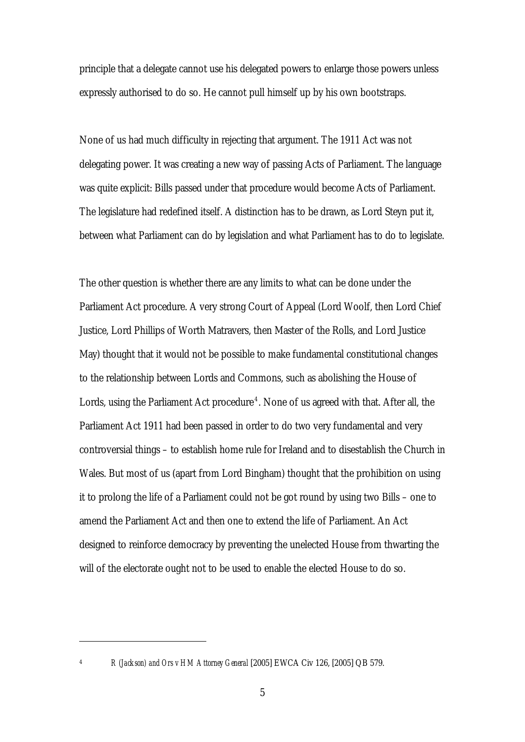principle that a delegate cannot use his delegated powers to enlarge those powers unless expressly authorised to do so. He cannot pull himself up by his own bootstraps.

None of us had much difficulty in rejecting that argument. The 1911 Act was not delegating power. It was creating a new way of passing Acts of Parliament. The language was quite explicit: Bills passed under that procedure would become Acts of Parliament. The legislature had redefined itself. A distinction has to be drawn, as Lord Steyn put it, between what Parliament can do by legislation and what Parliament has to do to legislate.

The other question is whether there are any limits to what can be done under the Parliament Act procedure. A very strong Court of Appeal (Lord Woolf, then Lord Chief Justice, Lord Phillips of Worth Matravers, then Master of the Rolls, and Lord Justice May) thought that it would not be possible to make fundamental constitutional changes to the relationship between Lords and Commons, such as abolishing the House of Lords, using the Parliament Act procedure<sup>4</sup>. None of us agreed with that. After all, the Parliament Act 1911 had been passed in order to do two very fundamental and very controversial things – to establish home rule for Ireland and to disestablish the Church in Wales. But most of us (apart from Lord Bingham) thought that the prohibition on using it to prolong the life of a Parliament could not be got round by using two Bills – one to amend the Parliament Act and then one to extend the life of Parliament. An Act designed to reinforce democracy by preventing the unelected House from thwarting the will of the electorate ought not to be used to enable the elected House to do so.

<sup>4</sup> *R (Jackson) and Ors v HM Attorney General* [2005] EWCA Civ 126, [2005] QB 579.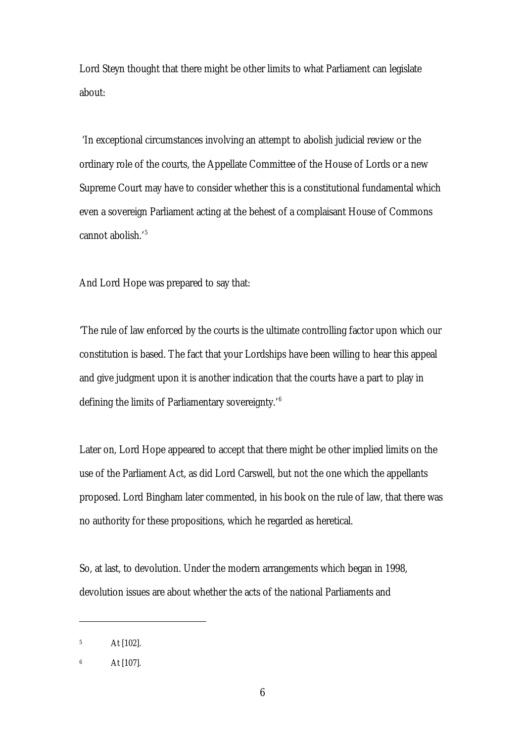Lord Steyn thought that there might be other limits to what Parliament can legislate about:

 'In exceptional circumstances involving an attempt to abolish judicial review or the ordinary role of the courts, the Appellate Committee of the House of Lords or a new Supreme Court may have to consider whether this is a constitutional fundamental which even a sovereign Parliament acting at the behest of a complaisant House of Commons cannot abolish.<sup>'5</sup>

And Lord Hope was prepared to say that:

'The rule of law enforced by the courts is the ultimate controlling factor upon which our constitution is based. The fact that your Lordships have been willing to hear this appeal and give judgment upon it is another indication that the courts have a part to play in defining the limits of Parliamentary sovereignty.'<sup>6</sup>

Later on, Lord Hope appeared to accept that there might be other implied limits on the use of the Parliament Act, as did Lord Carswell, but not the one which the appellants proposed. Lord Bingham later commented, in his book on the rule of law, that there was no authority for these propositions, which he regarded as heretical.

So, at last, to devolution. Under the modern arrangements which began in 1998, devolution issues are about whether the acts of the national Parliaments and

<sup>5</sup> At [102].

<sup>6</sup> At [107].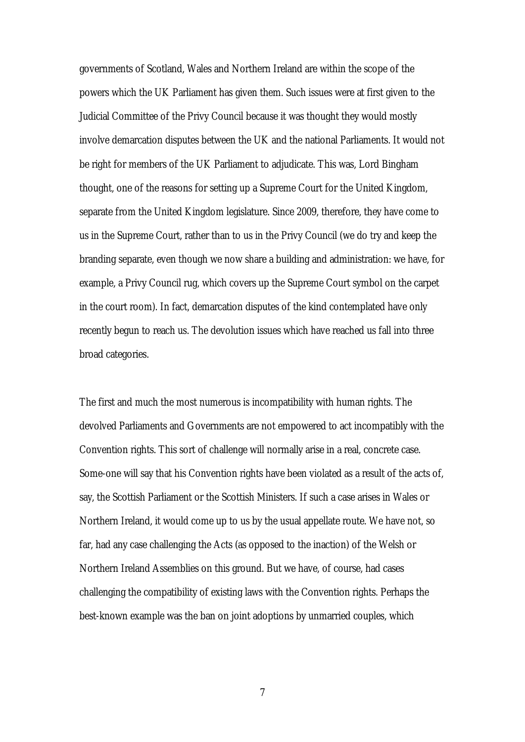governments of Scotland, Wales and Northern Ireland are within the scope of the powers which the UK Parliament has given them. Such issues were at first given to the Judicial Committee of the Privy Council because it was thought they would mostly involve demarcation disputes between the UK and the national Parliaments. It would not be right for members of the UK Parliament to adjudicate. This was, Lord Bingham thought, one of the reasons for setting up a Supreme Court for the United Kingdom, separate from the United Kingdom legislature. Since 2009, therefore, they have come to us in the Supreme Court, rather than to us in the Privy Council (we do try and keep the branding separate, even though we now share a building and administration: we have, for example, a Privy Council rug, which covers up the Supreme Court symbol on the carpet in the court room). In fact, demarcation disputes of the kind contemplated have only recently begun to reach us. The devolution issues which have reached us fall into three broad categories.

The first and much the most numerous is incompatibility with human rights. The devolved Parliaments and Governments are not empowered to act incompatibly with the Convention rights. This sort of challenge will normally arise in a real, concrete case. Some-one will say that his Convention rights have been violated as a result of the acts of, say, the Scottish Parliament or the Scottish Ministers. If such a case arises in Wales or Northern Ireland, it would come up to us by the usual appellate route. We have not, so far, had any case challenging the Acts (as opposed to the inaction) of the Welsh or Northern Ireland Assemblies on this ground. But we have, of course, had cases challenging the compatibility of existing laws with the Convention rights. Perhaps the best-known example was the ban on joint adoptions by unmarried couples, which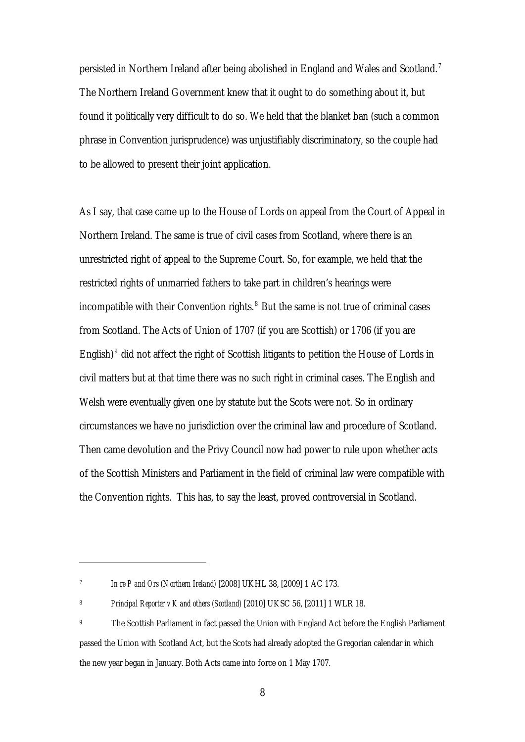persisted in Northern Ireland after being abolished in England and Wales and Scotland. <sup>7</sup> The Northern Ireland Government knew that it ought to do something about it, but found it politically very difficult to do so. We held that the blanket ban (such a common phrase in Convention jurisprudence) was unjustifiably discriminatory, so the couple had to be allowed to present their joint application.

As I say, that case came up to the House of Lords on appeal from the Court of Appeal in Northern Ireland. The same is true of civil cases from Scotland, where there is an unrestricted right of appeal to the Supreme Court. So, for example, we held that the restricted rights of unmarried fathers to take part in children's hearings were incompatible with their Convention rights. <sup>8</sup> But the same is not true of criminal cases from Scotland. The Acts of Union of 1707 (if you are Scottish) or 1706 (if you are English)<sup>9</sup> did not affect the right of Scottish litigants to petition the House of Lords in civil matters but at that time there was no such right in criminal cases. The English and Welsh were eventually given one by statute but the Scots were not. So in ordinary circumstances we have no jurisdiction over the criminal law and procedure of Scotland. Then came devolution and the Privy Council now had power to rule upon whether acts of the Scottish Ministers and Parliament in the field of criminal law were compatible with the Convention rights. This has, to say the least, proved controversial in Scotland.

<sup>7</sup> *In re P and Ors (Northern Ireland)* [2008] UKHL 38, [2009] 1 AC 173.

<sup>8</sup> *Principal Reporter v K and others (Scotland)* [2010] UKSC 56, [2011] 1 WLR 18.

<sup>&</sup>lt;sup>9</sup> The Scottish Parliament in fact passed the Union with England Act before the English Parliament passed the Union with Scotland Act, but the Scots had already adopted the Gregorian calendar in which the new year began in January. Both Acts came into force on 1 May 1707.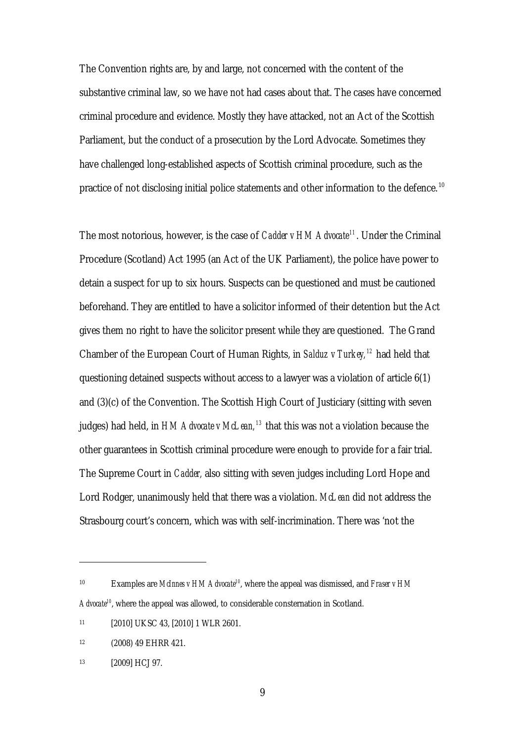The Convention rights are, by and large, not concerned with the content of the substantive criminal law, so we have not had cases about that. The cases have concerned criminal procedure and evidence. Mostly they have attacked, not an Act of the Scottish Parliament, but the conduct of a prosecution by the Lord Advocate. Sometimes they have challenged long-established aspects of Scottish criminal procedure, such as the practice of not disclosing initial police statements and other information to the defence.<sup>10</sup>

The most notorious, however, is the case of *Cadder v HM Advocate<sup>11</sup>*. Under the Criminal Procedure (Scotland) Act 1995 (an Act of the UK Parliament), the police have power to detain a suspect for up to six hours. Suspects can be questioned and must be cautioned beforehand. They are entitled to have a solicitor informed of their detention but the Act gives them no right to have the solicitor present while they are questioned. The Grand Chamber of the European Court of Human Rights, in *Salduz v Turkey, <sup>12</sup>* had held that questioning detained suspects without access to a lawyer was a violation of article 6(1) and (3)(c) of the Convention. The Scottish High Court of Justiciary (sitting with seven judges) had held, in *HM Advocate v McLean, <sup>13</sup>* that this was not a violation because the other guarantees in Scottish criminal procedure were enough to provide for a fair trial. The Supreme Court in *Cadder,* also sitting with seven judges including Lord Hope and Lord Rodger, unanimously held that there was a violation. *McLean* did not address the Strasbourg court's concern, which was with self-incrimination. There was 'not the

<sup>10</sup> Examples are *McInnes v HM Advocate10*, where the appeal was dismissed, and *Fraser v HM Advocate<sup>10</sup>*, where the appeal was allowed, to considerable consternation in Scotland.

<sup>11 [2010]</sup> UKSC 43, [2010] 1 WLR 2601.

<sup>12 (2008) 49</sup> EHRR 421.

<sup>13 [2009]</sup> HCJ 97.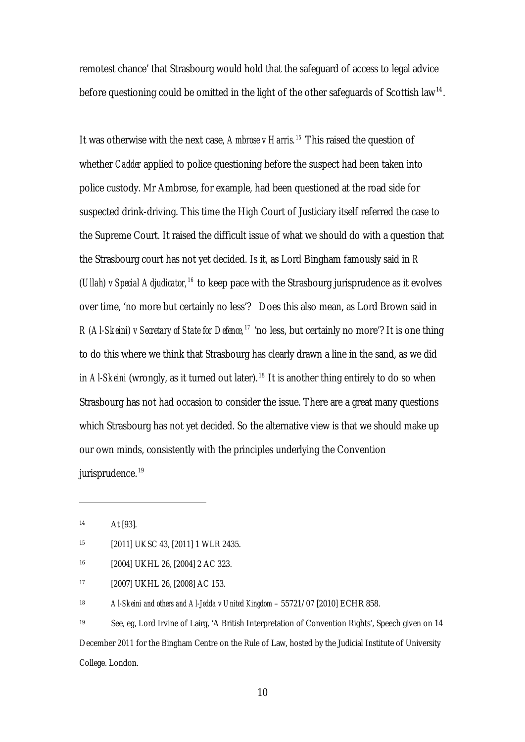remotest chance' that Strasbourg would hold that the safeguard of access to legal advice before questioning could be omitted in the light of the other safeguards of Scottish law<sup>14</sup>.

It was otherwise with the next case, *Ambrose v Harris. <sup>15</sup>* This raised the question of whether *Cadder* applied to police questioning before the suspect had been taken into police custody. Mr Ambrose, for example, had been questioned at the road side for suspected drink-driving. This time the High Court of Justiciary itself referred the case to the Supreme Court. It raised the difficult issue of what we should do with a question that the Strasbourg court has not yet decided. Is it, as Lord Bingham famously said in *R (Ullah) v Special Adjudicator, <sup>16</sup>* to keep pace with the Strasbourg jurisprudence as it evolves over time, 'no more but certainly no less'? Does this also mean, as Lord Brown said in *R (Al-Skeini) v Secretary of State for Defence, <sup>17</sup>* 'no less, but certainly no more'? It is one thing to do this where we think that Strasbourg has clearly drawn a line in the sand, as we did in *Al-Skeini* (wrongly, as it turned out later). 18 It is another thing entirely to do so when Strasbourg has not had occasion to consider the issue. There are a great many questions which Strasbourg has not yet decided. So the alternative view is that we should make up our own minds, consistently with the principles underlying the Convention jurisprudence.<sup>19</sup>

14 At [93].

<u>.</u>

16 [2004] UKHL 26, [2004] 2 AC 323.

17 [2007] UKHL 26, [2008] AC 153.

18 *Al-Skeini and others and Al-Jedda v United Kingdom* – 55721/07 [2010] ECHR 858.

19 See, eg, Lord Irvine of Lairg, 'A British Interpretation of Convention Rights', Speech given on 14 December 2011 for the Bingham Centre on the Rule of Law, hosted by the Judicial Institute of University College. London.

<sup>15 [2011]</sup> UKSC 43, [2011] 1 WLR 2435.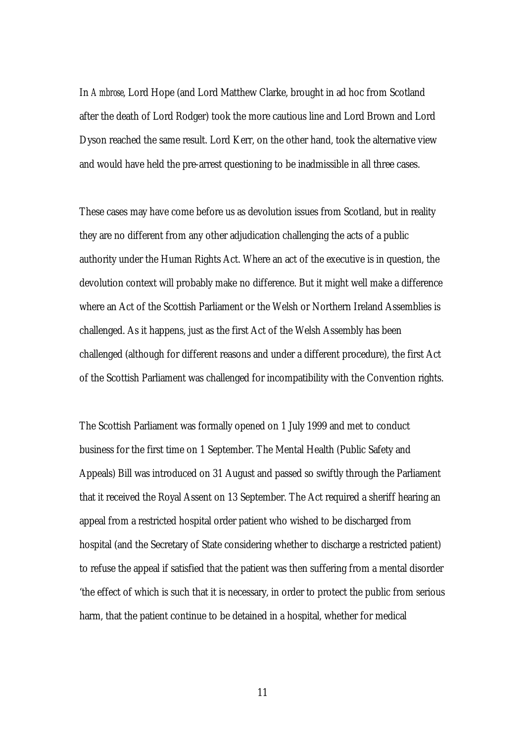In *Ambrose*, Lord Hope (and Lord Matthew Clarke, brought in ad hoc from Scotland after the death of Lord Rodger) took the more cautious line and Lord Brown and Lord Dyson reached the same result. Lord Kerr, on the other hand, took the alternative view and would have held the pre-arrest questioning to be inadmissible in all three cases.

These cases may have come before us as devolution issues from Scotland, but in reality they are no different from any other adjudication challenging the acts of a public authority under the Human Rights Act. Where an act of the executive is in question, the devolution context will probably make no difference. But it might well make a difference where an Act of the Scottish Parliament or the Welsh or Northern Ireland Assemblies is challenged. As it happens, just as the first Act of the Welsh Assembly has been challenged (although for different reasons and under a different procedure), the first Act of the Scottish Parliament was challenged for incompatibility with the Convention rights.

The Scottish Parliament was formally opened on 1 July 1999 and met to conduct business for the first time on 1 September. The Mental Health (Public Safety and Appeals) Bill was introduced on 31 August and passed so swiftly through the Parliament that it received the Royal Assent on 13 September. The Act required a sheriff hearing an appeal from a restricted hospital order patient who wished to be discharged from hospital (and the Secretary of State considering whether to discharge a restricted patient) to refuse the appeal if satisfied that the patient was then suffering from a mental disorder 'the effect of which is such that it is necessary, in order to protect the public from serious harm, that the patient continue to be detained in a hospital, whether for medical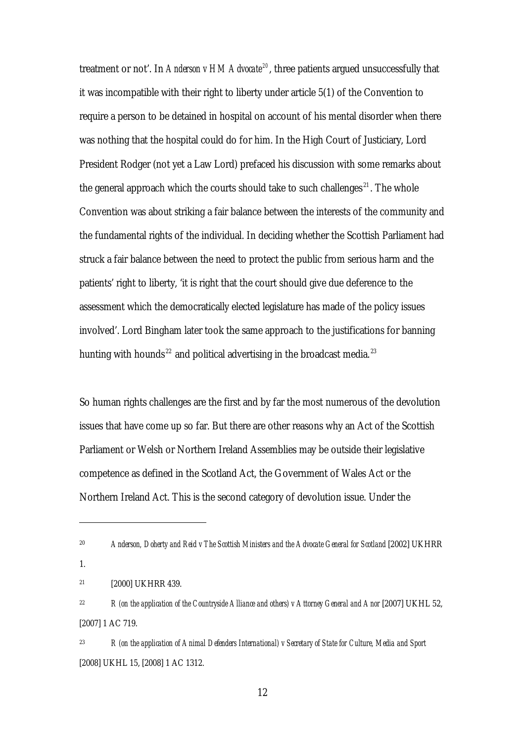treatment or not'. In *Anderson v HM Advocate<sup>20</sup>*, three patients argued unsuccessfully that it was incompatible with their right to liberty under article 5(1) of the Convention to require a person to be detained in hospital on account of his mental disorder when there was nothing that the hospital could do for him. In the High Court of Justiciary, Lord President Rodger (not yet a Law Lord) prefaced his discussion with some remarks about the general approach which the courts should take to such challenges<sup>21</sup>. The whole Convention was about striking a fair balance between the interests of the community and the fundamental rights of the individual. In deciding whether the Scottish Parliament had struck a fair balance between the need to protect the public from serious harm and the patients' right to liberty, 'it is right that the court should give due deference to the assessment which the democratically elected legislature has made of the policy issues involved'. Lord Bingham later took the same approach to the justifications for banning hunting with hounds<sup>22</sup> and political advertising in the broadcast media.<sup>23</sup>

So human rights challenges are the first and by far the most numerous of the devolution issues that have come up so far. But there are other reasons why an Act of the Scottish Parliament or Welsh or Northern Ireland Assemblies may be outside their legislative competence as defined in the Scotland Act, the Government of Wales Act or the Northern Ireland Act. This is the second category of devolution issue. Under the

1.

<sup>20</sup> *Anderson, Doherty and Reid v The Scottish Ministers and the Advocate General for Scotland* [2002] UKHRR

<sup>21 [2000]</sup> UKHRR 439.

<sup>&</sup>lt;sup>22</sup> *R* (on the application of the Countryside Alliance and others) v Attorney General and Anor [2007] UKHL 52, [2007] 1 AC 719.

<sup>23</sup> *R (on the application of Animal Defenders International) v Secretary of State for Culture, Media and Sport* [2008] UKHL 15, [2008] 1 AC 1312.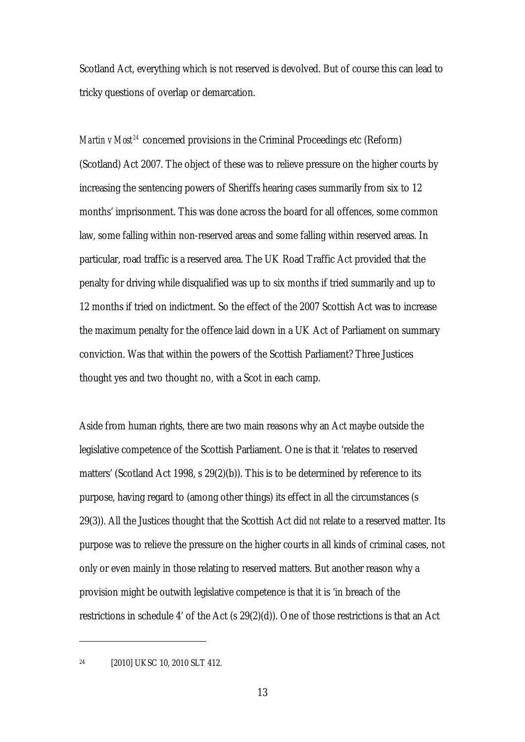Scotland Act, everything which is not reserved is devolved. But of course this can lead to tricky questions of overlap or demarcation.

*Martin v Most*<sup>24</sup> concerned provisions in the Criminal Proceedings etc (Reform) (Scotland) Act 2007. The object of these was to relieve pressure on the higher courts by increasing the sentencing powers of Sheriffs hearing cases summarily from six to 12 months' imprisonment. This was done across the board for all offences, some common law, some falling within non-reserved areas and some falling within reserved areas. In particular, road traffic is a reserved area. The UK Road Traffic Act provided that the penalty for driving while disqualified was up to six months if tried summarily and up to 12 months if tried on indictment. So the effect of the 2007 Scottish Act was to increase the maximum penalty for the offence laid down in a UK Act of Parliament on summar y conviction. Was that within the powers of the Scottish Parliament? Three Justices thought yes and two thought no, with a Sco t in each camp.

Aside from human rights, there are two main reasons why an Act maybe outside the legislative competence of the Scottish Parliament. One is that it 'relates to reserved matters' (Scotland Act 1998, s 29(2)(b)). This is to be determined by reference to its purpose, having regard to (among other things) its effect in all the circumstances (s 29(3)). All the Justices thought that the Scottish Act did *not* relate to a reserved matter. Its purpose was to relieve the pressure on the higher courts in all kinds of criminal cases, not only or even mainly in those relating to reserved matters. But another reason why a provision might be outwith legislative competence is that it is 'in breach of the restrictions in schedule 4' of the Act (s 29(2)(d)). One of those restrictions is that an Act

24 [2010] UKSC 10, 2010 SLT 412.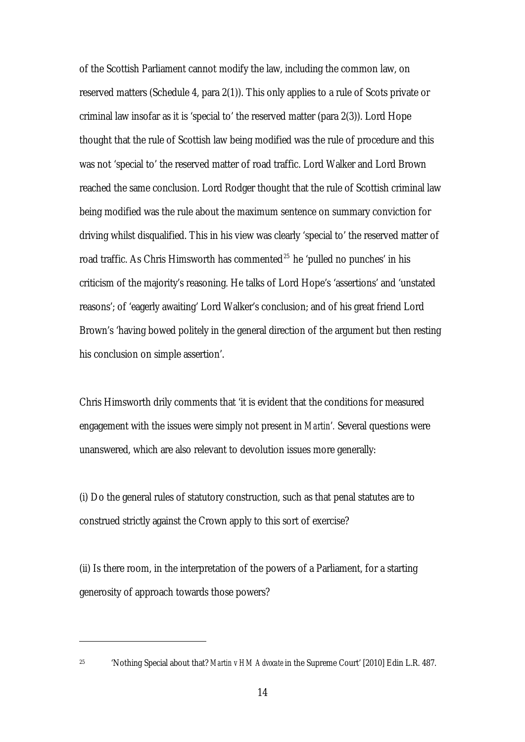of the Scottish Parliament cannot modify the law, including the common law, on reserved matters (Schedule 4, para 2(1)). This only applies to a rule of Scots private or criminal law insofar as it is 'special to' the reserved matter (para 2(3)). Lord Hope thought that the rule of Scottish law being modified was the rule of procedure and this was not 'special to' the reserved matter of road traffic. Lord Walker and Lord Brown reached the same conclusion. Lord Rodger thought that the rule of Scottish criminal law being modified was the rule about the maximum sentence on summary conviction for driving whilst disqualified. This in his view was clearly 'special to' the reserved matter of road traffic. As Chris Himsworth has commented<sup>25</sup> he 'pulled no punches' in his criticism of the majority's reasoning. He talks of Lord Hope's 'assertions' and 'unstated reasons'; of 'eagerly awaiting' Lord Walker's conclusion; and of his great friend Lord Brown's 'having bowed politely in the general direction of the argument but then resting his conclusion on simple assertion'.

Chris Himsworth drily comments that 'it is evident that the conditions for measured engagement with the issues were simply not present in *Martin*'*.* Several questions were unanswered, which are also relevant to devolution issues more generally:

(i) Do the general rules of statutory construction, such as that penal statutes are to construed strictly against the Crown apply to this sort of exercise?

(ii) Is there room, in the interpretation of the powers of a Parliament, for a starting generosity of approach towards those powers?

<sup>25 &#</sup>x27;Nothing Special about that? *Martin v HM Advocate* in the Supreme Court' [2010] Edin L.R. 487.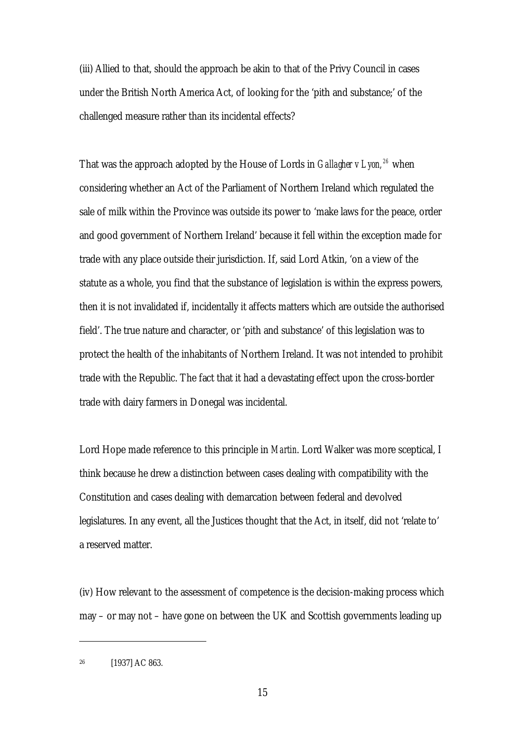(iii) Allied to that, should the approach be akin to that of the Privy Council in cases under the British North America Act, of looking for the 'pith and substance;' of the challenged measure rather than its incidental effects?

That was the approach adopted by the House of Lords in *Gallagher v Lyon, <sup>26</sup>* when considering whether an Act of the Parliament of Northern Ireland which regulated the sale of milk within the Province was outside its power to 'make laws for the peace, order and good government of Northern Ireland' because it fell within the exception made for trade with any place outside their jurisdiction. If, said Lord Atkin, 'on a view of the statute as a whole, you find that the substance of legislation is within the express powers, then it is not invalidated if, incidentally it affects matters which are outside the authorised field'. The true nature and character, or 'pith and substance' of this legislation was to protect the health of the inhabitants of Northern Ireland. It was not intended to prohibit trade with the Republic. The fact that it had a devastating effect upon the cross-border trade with dairy farmers in Donegal was incidental.

Lord Hope made reference to this principle in *Martin*. Lord Walker was more sceptical, I think because he drew a distinction between cases dealing with compatibility with the Constitution and cases dealing with demarcation between federal and devolved legislatures. In any event, all the Justices thought that the Act, in itself, did not 'relate to' a reserved matter.

(iv) How relevant to the assessment of competence is the decision-making process which may – or may not – have gone on between the UK and Scottish governments leading up

<sup>26 [1937]</sup> AC 863.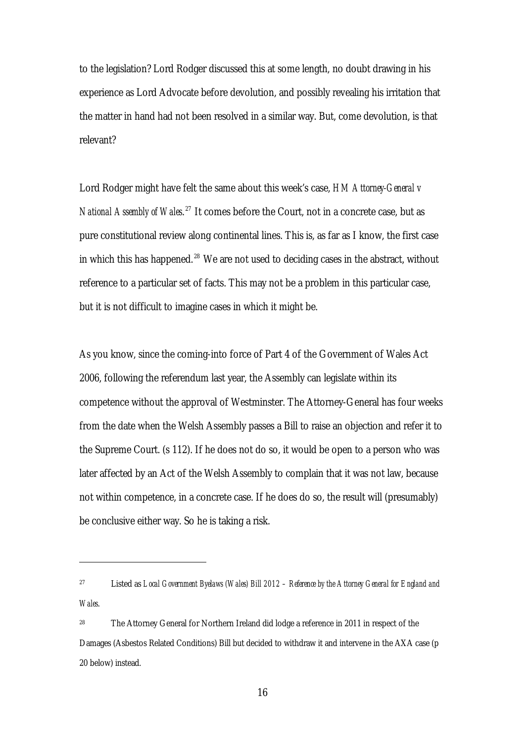to the legislation? Lord Rodger discussed this at some length, no doubt drawing in his experience as Lord Advocate before devolution, and possibly revealing his irritation that the matter in hand had not been resolved in a similar way. But, come devolution, is that relevant?

Lord Rodger might have felt the same about this week's case, *HM Attorney-General v National Assembly of Wales*. 27 It comes before the Court, not in a concrete case, but as pure constitutional review along continental lines. This is, as far as I know, the first cas e in which this has happened. $28$  We are not used to deciding cases in the abstract, without reference to a particular set of facts. This may not be a problem in this particular case, but it is not difficult to imagine cases in which it might be.

As you know, since the coming-into force of Part 4 of the Government of Wales Act 2006, following the referendum last year, the Assembly can legislate within its competence without the approval of Westminster. The Attorney-General has four weeks from the date when the Welsh Assembly passes a Bill to raise an objection and refer it to the Supreme Court. (s 112). If he does not do so, it would be open to a person who was later affected by an Act of the Welsh Assembly to complain that it was not law, because not within competence, in a concrete case. If he does do so, the result will (presumably) be conclusive either way. So he is taking a risk.

<sup>27</sup> Listed as *Local Government Byelaws (Wales) Bill 2012 – Reference by the Attorney General for England and Wales*.

<sup>28</sup> The Attorney General for Northern Ireland did lodge a reference in 2011 in respect of the Damages (Asbestos Related Conditions) Bill but decided to withdraw it and intervene in the AXA case (p 20 below) instead.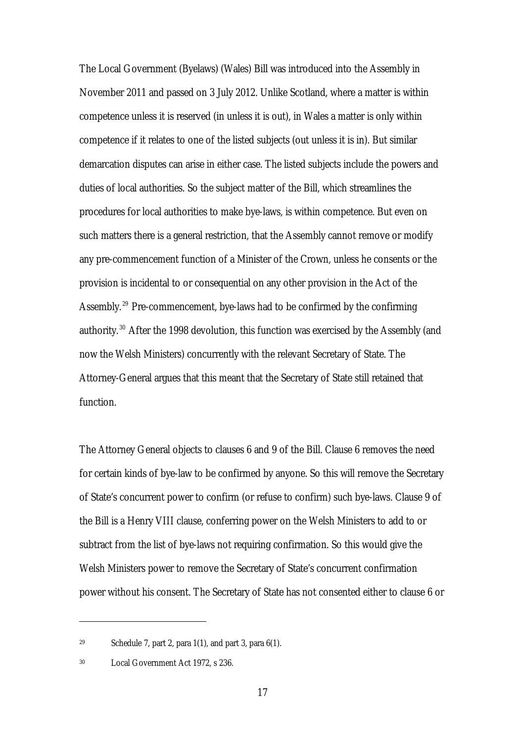The Local Government (Byelaws) (Wales) Bill was introduced into the Assembly in November 2011 and passed on 3 July 2012. Unlike Scotland, where a matter is within competence unless it is reserved (in unless it is out), in Wales a matter is only within competence if it relates to one of the listed subjects (out unless it is in). But similar demarcation disputes can arise in either case. The listed subjects include the powers and duties of local authorities. So the subject matter of the Bill, which streamlines the procedures for local authorities to make bye-laws, is within competence. But even on such matters there is a general restriction, that the Assembly cannot remove or modify any pre-commencement function of a Minister of the Crown, unless he consents or the provision is incidental to or consequential on any other provision in the Act of the Assembly. 29 Pre-commencement, bye-laws had to be confirmed by the confirming authority. 30 After the 1998 devolution, this function was exercised by the Assembly (and now the Welsh Ministers) concurrently with the relevant Secretary of State. The Attorney-General argues that this meant that the Secretary of State still retained that function.

The Attorney General objects to clauses 6 and 9 of the Bill. Clause 6 removes the need for certain kinds of bye-law to be confirmed by anyone. So this will remove the Secretary of State's concurrent power to confirm (or refuse to confirm) such bye-laws. Clause 9 of the Bill is a Henry VIII clause, conferring power on the Welsh Ministers to add to or subtract from the list of bye-laws not requiring confirmation. So this would give the Welsh Ministers power to remove the Secretary of State's concurrent confirmation power without his consent. The Secretary of State has not consented either to clause 6 or

<sup>&</sup>lt;sup>29</sup> Schedule 7, part 2, para 1(1), and part 3, para  $6(1)$ .

<sup>30</sup> Local Government Act 1972, s 236.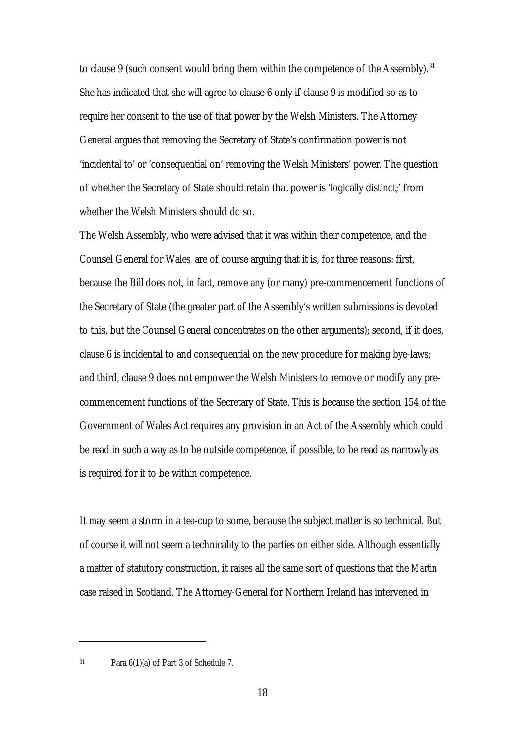to clause 9 (such consent would bring them within the competence of the Assembly).<sup>31</sup> She has indicated that she will agree to clause 6 only if clause 9 is modified so as to require her consent to the use of that power by the Welsh Ministers. The Attorney General argues that removing the Secretary of State's confirmation power is not 'incidental to' or 'consequential on' removing the Welsh Ministers' power. The question of whether the Secretary of State should retain that power is 'logically distinct;' from whether the Welsh Ministers should do so.

The Welsh Assembly, who were advised that it was within their competence, and the Counsel General for Wales, are of course arguing that it is, for three reasons: first, because the Bill does not, in fact, remove any (or many) pre-commencement functions of the Secretary of State (the greater part of the Assembly's written submissions is devoted to this, but the Counsel General concentrates on the other arguments); second, if it does, clause 6 is incidental to and consequential on the new procedure for making bye-laws; and third, clause 9 does not empower the Welsh Ministers to remove or modify any precommencement functions of the Secretary of State. This is because the section 154 of the Government of Wales Act requires any provision in an Act of the Assembly which could be read in such a way as to be outside competence, if possible, to be read as narrowly as is required for it to be within competence.

It may seem a storm in a tea-cup to some, because the subject matter is so technical. But of course it will not seem a technicality to the parties on either side. Although essentially a matter of statutory construction, it raises all the same sort of questions that the *Martin*  case raised in Scotland. The Attorney-General for Northern Ireland has intervened in

<sup>31</sup> Para 6(1)(a) of Part 3 of Schedule 7.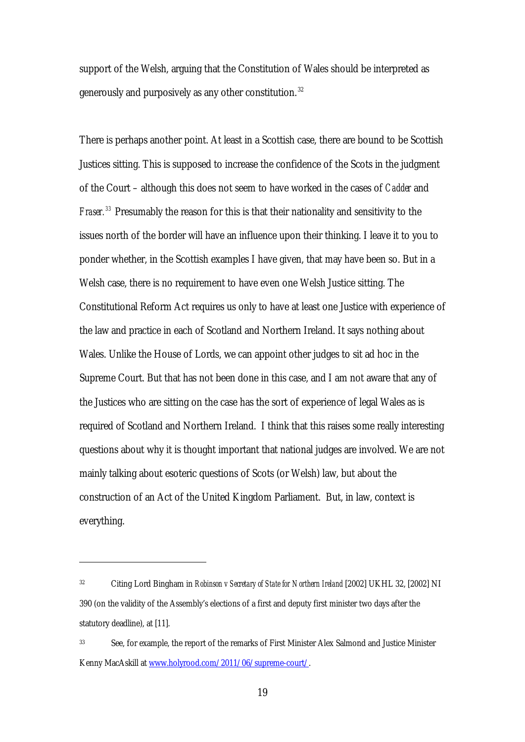support of the Welsh, arguing that the Constitution of Wales should be interpreted as generously and purposively as any other constitution. <sup>32</sup>

There is perhaps another point. At least in a Scottish case, there are bound to be Scottish Justices sitting. This is supposed to increase the confidence of the Scots in the judgment of the Court – although this does not seem to have worked in the cases of *Cadder* and *Fraser. <sup>33</sup>* Presumably the reason for this is that their nationality and sensitivity to the issues north of the border will have an influence upon their thinking. I leave it to you to ponder whether, in the Scottish examples I have given, that may have been so. But in a Welsh case, there is no requirement to have even one Welsh Justice sitting. The Constitutional Reform Act requires us only to have at least one Justice with experience of the law and practice in each of Scotland and Northern Ireland. It says nothing about Wales. Unlike the House of Lords, we can appoint other judges to sit ad hoc in the Supreme Court. But that has not been done in this case, and I am not aware that any of the Justices who are sitting on the case has the sort of experience of legal Wales as is required of Scotland and Northern Ireland. I think that this raises some really interesting questions about why it is thought important that national judges are involved. We are not mainly talking about esoteric questions of Scots (or Welsh) law, but about the construction of an Act of the United Kingdom Parliament. But, in law, context is everything.

<sup>32</sup> Citing Lord Bingham in *Robinson v Secretary of State for Northern Ireland* [2002] UKHL 32, [2002] NI 390 (on the validity of the Assembly's elections of a first and deputy first minister two days after the statutory deadline), at [11].

<sup>33</sup> See, for example, the report of the remarks of First Minister Alex Salmond and Justice Minister Kenny MacAskill at www.holyrood.com/2011/06/supreme-court/.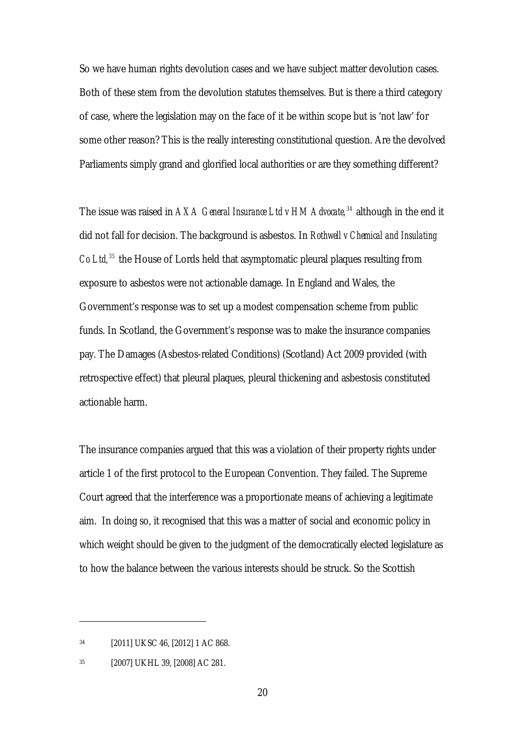So we have human rights devolution cases and we have subject matter devolution cases. Both of these stem from the devolution statutes themselves. But is there a third category of case, where the legislation may on the face of it be within scope but is 'not law' for some other reason? This is the really interesting constitutional question. Are the devolved Parliaments simply grand and glorified local authorities or are they something different?

The issue was raised in *AXA General Insurance Ltd v HM Advocate, <sup>34</sup>* although in the end it did not fall for decision. The background is asbestos. In *Rothwell v Chemical and Insulating Co Ltd, <sup>35</sup>* the House of Lords held that asymptomatic pleural plaques resulting from exposure to asbestos were not actionable damage. In England and Wales, the Government's response was to set up a modest compensation scheme from public funds. In Scotland, the Government's response was to make the insurance companies pay. The Damages (Asbestos-related Conditions) (Scotland) Act 2009 provided (with retrospective effect) that pleural plaques, pleural thickening and asbestosis constituted actionable harm.

The insurance companies argued that this was a violation of their property rights under article 1 of the first protocol to the European Convention. They failed. The Supreme Court agreed that the interference was a proportionate means of achieving a legitimate aim. In doing so, it recognised that this was a matter of social and economic policy in which weight should be given to the judgment of the democratically elected legislature as to how the balance between the various interests should be struck. So the Scottish

<sup>34 [2011]</sup> UKSC 46, [2012] 1 AC 868.

<sup>35 [2007]</sup> UKHL 39, [2008] AC 281.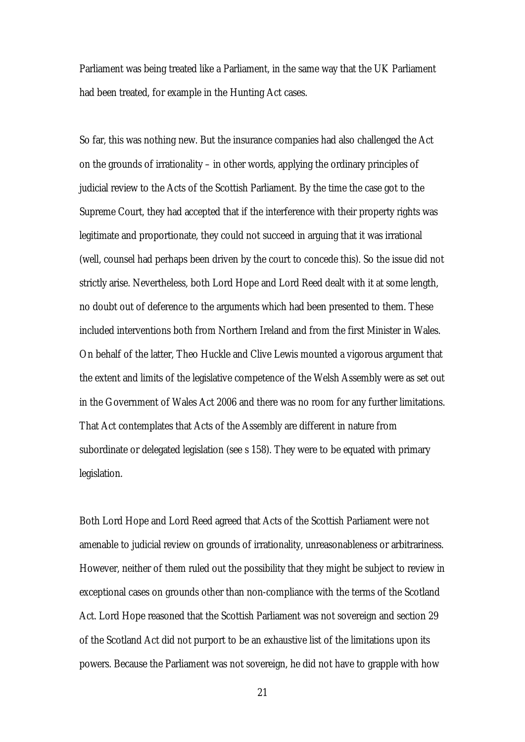Parliament was being treated like a Parliament, in the same way that the UK Parliament had been treated, for example in the Hunting Act cases.

So far, this was nothing new. But the insurance companies had also challenged the Act on the grounds of irrationality – in other words, applying the ordinary principles of judicial review to the Acts of the Scottish Parliament. By the time the case got to the Supreme Court, they had accepted that if the interference with their property rights was legitimate and proportionate, they could not succeed in arguing that it was irrational (well, counsel had perhaps been driven by the court to concede this). So the issue did not strictly arise. Nevertheless, both Lord Hope and Lord Reed dealt with it at some length, no doubt out of deference to the arguments which had been presented to them. These included interventions both from Northern Ireland and from the first Minister in Wales. On behalf of the latter, Theo Huckle and Clive Lewis mounted a vigorous argument that the extent and limits of the legislative competence of the Welsh Assembly were as set out in the Government of Wales Act 2006 and there was no room for any further limitations. That Act contemplates that Acts of the Assembly are different in nature from subordinate or delegated legislation (see s 158). They were to be equated with primary legislation.

Both Lord Hope and Lord Reed agreed that Acts of the Scottish Parliament were not amenable to judicial review on grounds of irrationality, unreasonableness or arbitrariness. However, neither of them ruled out the possibility that they might be subject to review in exceptional cases on grounds other than non-compliance with the terms of the Scotland Act. Lord Hope reasoned that the Scottish Parliament was not sovereign and section 29 of the Scotland Act did not purport to be an exhaustive list of the limitations upon its powers. Because the Parliament was not sovereign, he did not have to grapple with how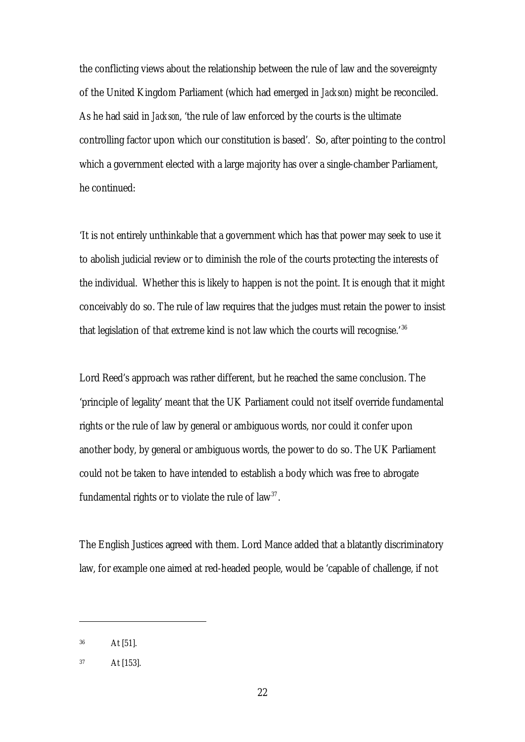the conflicting views about the relationship between the rule of law and the sovereignty of the United Kingdom Parliament (which had emerged in *Jackson*) might be reconciled. As he had said in *Jackson*, 'the rule of law enforced by the courts is the ultimate controlling factor upon which our constitution is based'. So, after pointing to the control which a government elected with a large majority has over a single-chamber Parliament, he continued:

'It is not entirely unthinkable that a government which has that power may seek to use it to abolish judicial review or to diminish the role of the courts protecting the interests of the individual. Whether this is likely to happen is not the point. It is enough that it might conceivably do so. The rule of law requires that the judges must retain the power to insist that legislation of that extreme kind is not law which the courts will recognise.<sup>'36</sup>

Lord Reed's approach was rather different, but he reached the same conclusion. The 'principle of legality' meant that the UK Parliament could not itself override fundamental rights or the rule of law by general or ambiguous words, nor could it confer upon another body, by general or ambiguous words, the power to do so. The UK Parliament could not be taken to have intended to establish a body which was free to abrogate fundamental rights or to violate the rule of law<sup>37</sup>.

The English Justices agreed with them. Lord Mance added that a blatantly discriminatory law, for example one aimed at red-headed people, would be 'capable of challenge, if not

<sup>36</sup> At [51].

<sup>37</sup> At [153].